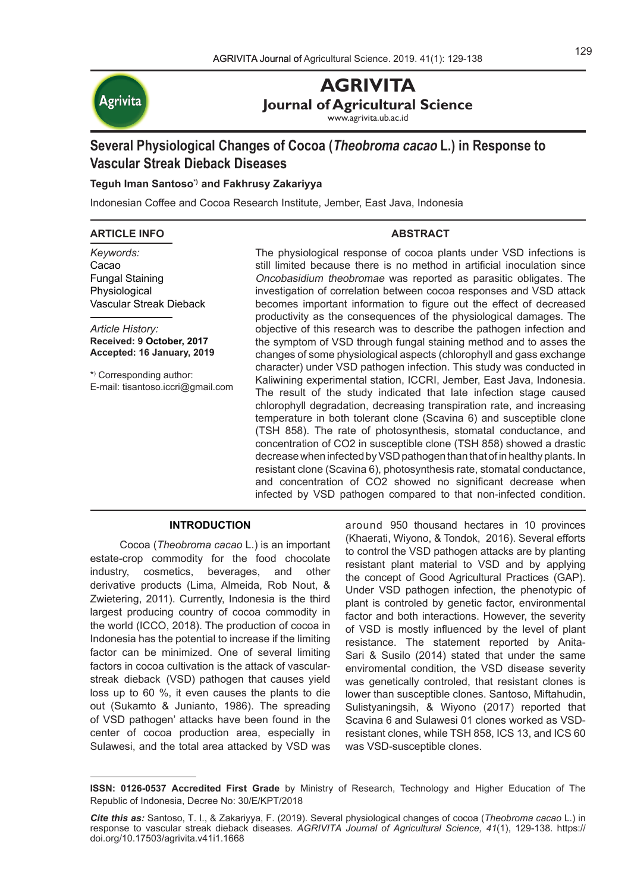

**AGRIVITA Journal of Agricultural Science**

www.agrivita.ub.ac.id

# **Several Physiological Changes of Cocoa (Theobroma cacao L.) in Response to Vascular Streak Dieback Diseases**

# **Teguh Iman Santoso\*) and Fakhrusy Zakariyya**

Indonesian Coffee and Cocoa Research Institute, Jember, East Java, Indonesia

### **ARTICLE INFO**

### **ABSTRACT**

*Keywords:* Cacao Fungal Staining **Physiological** Vascular Streak Dieback

*Article History:* **Received: 9 October, 2017 Accepted: 16 January, 2019**

\*) Corresponding author: E-mail: tisantoso.iccri@gmail.com

The physiological response of cocoa plants under VSD infections is still limited because there is no method in artificial inoculation since Oncobasidium theobromae was reported as parasitic obligates. The investigation of correlation between cocoa responses and VSD attack becomes important information to figure out the effect of decreased productivity as the consequences of the physiological damages. The objective of this research was to describe the pathogen infection and the symptom of VSD through fungal staining method and to asses the changes of some physiological aspects (chlorophyll and gass exchange character) under VSD pathogen infection. This study was conducted in Kaliwining experimental station, ICCRI, Jember, East Java, Indonesia. The result of the study indicated that late infection stage caused chlorophyll degradation, decreasing transpiration rate, and increasing temperature in both tolerant clone (Scavina 6) and susceptible clone (TSH 858). The rate of photosynthesis, stomatal conductance, and concentration of CO2 in susceptible clone (TSH 858) showed a drastic decrease when infected by VSD pathogen than that of in healthy plants. In resistant clone (Scavina 6), photosynthesis rate, stomatal conductance, and concentration of CO2 showed no significant decrease when infected by VSD pathogen compared to that non-infected condition.

# **INTRODUCTION**

Cocoa (*Theobroma cacao* L.) is an important estate-crop commodity for the food chocolate industry, cosmetics, beverages, and other derivative products (Lima, Almeida, Rob Nout, & Zwietering, 2011). Currently, Indonesia is the third largest producing country of cocoa commodity in the world (ICCO, 2018). The production of cocoa in Indonesia has the potential to increase if the limiting factor can be minimized. One of several limiting factors in cocoa cultivation is the attack of vascularstreak dieback (VSD) pathogen that causes yield loss up to 60 %, it even causes the plants to die out (Sukamto & Junianto, 1986). The spreading of VSD pathogen' attacks have been found in the center of cocoa production area, especially in Sulawesi, and the total area attacked by VSD was around 950 thousand hectares in 10 provinces (Khaerati, Wiyono, & Tondok, 2016). Several efforts to control the VSD pathogen attacks are by planting resistant plant material to VSD and by applying the concept of Good Agricultural Practices (GAP). Under VSD pathogen infection, the phenotypic of plant is controled by genetic factor, environmental factor and both interactions. However, the severity of VSD is mostly influenced by the level of plant resistance. The statement reported by Anita-Sari & Susilo (2014) stated that under the same enviromental condition, the VSD disease severity was genetically controled, that resistant clones is lower than susceptible clones. Santoso, Miftahudin, Sulistyaningsih, & Wiyono (2017) reported that Scavina 6 and Sulawesi 01 clones worked as VSDresistant clones, while TSH 858, ICS 13, and ICS 60 was VSD-susceptible clones.

**ISSN: 0126-0537 Accredited First Grade** by Ministry of Research, Technology and Higher Education of The Republic of Indonesia, Decree No: 30/E/KPT/2018

*Cite this as:* Santoso, T. I., & Zakariyya, F. (2019). Several physiological changes of cocoa (*Theobroma cacao* L.) in response to vascular streak dieback diseases. *AGRIVITA Journal of Agricultural Science, 41*(1), 129-138. https:// doi.org/10.17503/agrivita.v41i1.1668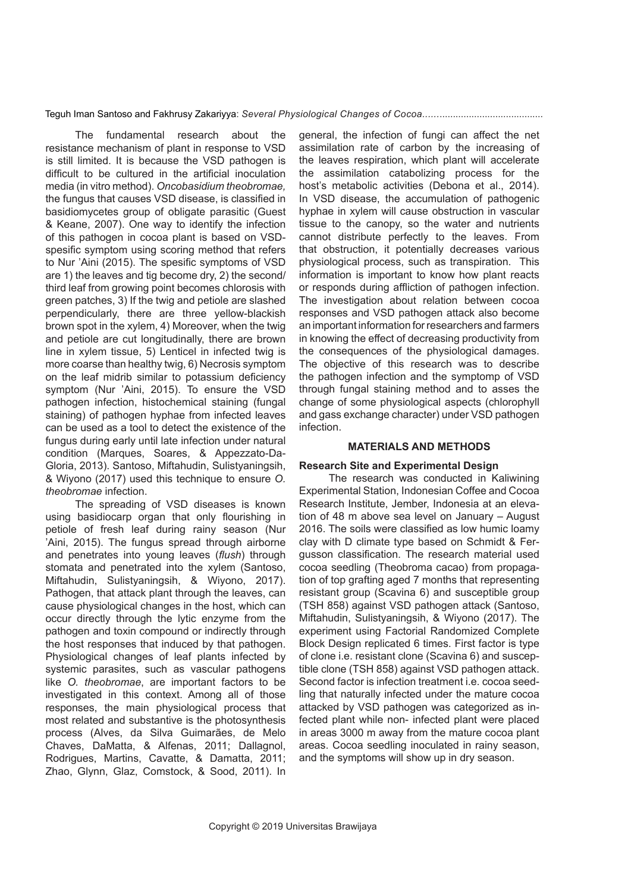The fundamental research about the resistance mechanism of plant in response to VSD is still limited. It is because the VSD pathogen is difficult to be cultured in the artificial inoculation media (in vitro method). *Oncobasidium theobromae,*  the fungus that causes VSD disease, is classified in basidiomycetes group of obligate parasitic (Guest & Keane, 2007). One way to identify the infection of this pathogen in cocoa plant is based on VSDspesific symptom using scoring method that refers to Nur 'Aini (2015). The spesific symptoms of VSD are 1) the leaves and tig become dry, 2) the second/ third leaf from growing point becomes chlorosis with green patches, 3) If the twig and petiole are slashed perpendicularly, there are three yellow-blackish brown spot in the xylem, 4) Moreover, when the twig and petiole are cut longitudinally, there are brown line in xylem tissue, 5) Lenticel in infected twig is more coarse than healthy twig, 6) Necrosis symptom on the leaf midrib similar to potassium deficiency symptom (Nur 'Aini, 2015). To ensure the VSD pathogen infection, histochemical staining (fungal staining) of pathogen hyphae from infected leaves can be used as a tool to detect the existence of the fungus during early until late infection under natural condition (Marques, Soares, & Appezzato-Da-Gloria, 2013). Santoso, Miftahudin, Sulistyaningsih, & Wiyono (2017) used this technique to ensure *O. theobromae* infection.

The spreading of VSD diseases is known using basidiocarp organ that only flourishing in petiole of fresh leaf during rainy season (Nur 'Aini, 2015). The fungus spread through airborne and penetrates into young leaves (*flush*) through stomata and penetrated into the xylem (Santoso, Miftahudin, Sulistyaningsih, & Wiyono, 2017). Pathogen, that attack plant through the leaves, can cause physiological changes in the host, which can occur directly through the lytic enzyme from the pathogen and toxin compound or indirectly through the host responses that induced by that pathogen. Physiological changes of leaf plants infected by systemic parasites, such as vascular pathogens like *O. theobromae*, are important factors to be investigated in this context. Among all of those responses, the main physiological process that most related and substantive is the photosynthesis process (Alves, da Silva Guimarães, de Melo Chaves, DaMatta, & Alfenas, 2011; Dallagnol, Rodrigues, Martins, Cavatte, & Damatta, 2011; Zhao, Glynn, Glaz, Comstock, & Sood, 2011). In general, the infection of fungi can affect the net assimilation rate of carbon by the increasing of the leaves respiration, which plant will accelerate the assimilation catabolizing process for the host's metabolic activities (Debona et al., 2014). In VSD disease, the accumulation of pathogenic hyphae in xylem will cause obstruction in vascular tissue to the canopy, so the water and nutrients cannot distribute perfectly to the leaves. From that obstruction, it potentially decreases various physiological process, such as transpiration. This information is important to know how plant reacts or responds during affliction of pathogen infection. The investigation about relation between cocoa responses and VSD pathogen attack also become an important information for researchers and farmers in knowing the effect of decreasing productivity from the consequences of the physiological damages. The objective of this research was to describe the pathogen infection and the symptomp of VSD through fungal staining method and to asses the change of some physiological aspects (chlorophyll and gass exchange character) under VSD pathogen infection.

# **MATERIALS AND METHODS**

#### **Research Site and Experimental Design**

The research was conducted in Kaliwining Experimental Station, Indonesian Coffee and Cocoa Research Institute, Jember, Indonesia at an elevation of 48 m above sea level on January – August 2016. The soils were classified as low humic loamy clay with D climate type based on Schmidt & Fergusson classification. The research material used cocoa seedling (Theobroma cacao) from propagation of top grafting aged 7 months that representing resistant group (Scavina 6) and susceptible group (TSH 858) against VSD pathogen attack (Santoso, Miftahudin, Sulistyaningsih, & Wiyono (2017). The experiment using Factorial Randomized Complete Block Design replicated 6 times. First factor is type of clone i.e. resistant clone (Scavina 6) and susceptible clone (TSH 858) against VSD pathogen attack. Second factor is infection treatment i.e. cocoa seedling that naturally infected under the mature cocoa attacked by VSD pathogen was categorized as infected plant while non- infected plant were placed in areas 3000 m away from the mature cocoa plant areas. Cocoa seedling inoculated in rainy season, and the symptoms will show up in dry season.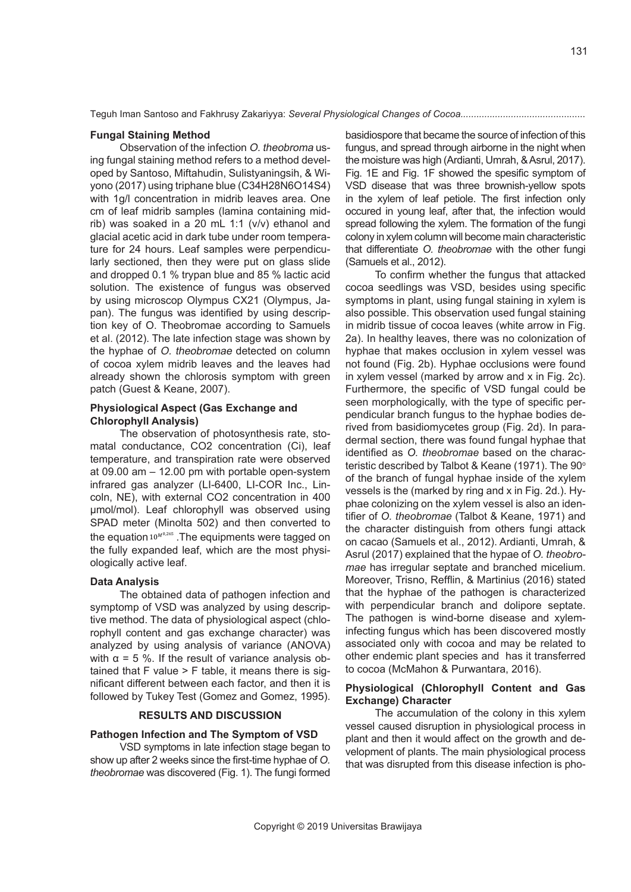#### **Fungal Staining Method**

Observation of the infection O. theobroma using fungal staining method refers to a method developed by Santoso, Miftahudin, Sulistyaningsih, & Wiyono (2017) using triphane blue (C34H28N6O14S4) with 1g/l concentration in midrib leaves area. One cm of leaf midrib samples (lamina containing midrib) was soaked in a 20 mL 1:1 (v/v) ethanol and glacial acetic acid in dark tube under room temperature for 24 hours. Leaf samples were perpendicularly sectioned, then they were put on glass slide and dropped 0.1 % trypan blue and 85 % lactic acid solution. The existence of fungus was observed by using microscop Olympus CX21 (Olympus, Japan). The fungus was identified by using description key of O. Theobromae according to Samuels et al. (2012). The late infection stage was shown by the hyphae of O. theobromae detected on column of cocoa xylem midrib leaves and the leaves had already shown the chlorosis symptom with green patch (Guest & Keane, 2007).

# **Physiological Aspect (Gas Exchange and Chlorophyll Analysis)**

The observation of photosynthesis rate, stomatal conductance, CO2 concentration (Ci), leaf temperature, and transpiration rate were observed at 09.00 am – 12.00 pm with portable open-system infrared gas analyzer (LI-6400, LI-COR Inc., Lincoln, NE), with external CO2 concentration in 400 µmol/mol). Leaf chlorophyll was observed using SPAD meter (Minolta 502) and then converted to the equation  $10^{M^{0,265}}$ . The equipments were tagged on the fully expanded leaf, which are the most physiologically active leaf.

#### **Data Analysis**

The obtained data of pathogen infection and symptomp of VSD was analyzed by using descriptive method. The data of physiological aspect (chlorophyll content and gas exchange character) was analyzed by using analysis of variance (ANOVA) with  $\alpha$  = 5 %. If the result of variance analysis obtained that  $F$  value  $> F$  table, it means there is significant different between each factor, and then it is followed by Tukey Test (Gomez and Gomez, 1995).

## **RESULTS AND DISCUSSION**

## **Pathogen Infection and The Symptom of VSD**

VSD symptoms in late infection stage began to show up after 2 weeks since the first-time hyphae of *O. theobromae* was discovered (Fig. 1). The fungi formed basidiospore that became the source of infection of this fungus, and spread through airborne in the night when the moisture was high (Ardianti, Umrah, & Asrul, 2017). Fig. 1E and Fig. 1F showed the spesific symptom of VSD disease that was three brownish-yellow spots in the xylem of leaf petiole. The first infection only occured in young leaf, after that, the infection would spread following the xylem. The formation of the fungi colony in xylem column will become main characteristic that differentiate *O. theobromae* with the other fungi (Samuels et al., 2012).

To confirm whether the fungus that attacked cocoa seedlings was VSD, besides using specific symptoms in plant, using fungal staining in xylem is also possible. This observation used fungal staining in midrib tissue of cocoa leaves (white arrow in Fig. 2a). In healthy leaves, there was no colonization of hyphae that makes occlusion in xylem vessel was not found (Fig. 2b). Hyphae occlusions were found in xylem vessel (marked by arrow and x in Fig. 2c). Furthermore, the specific of VSD fungal could be seen morphologically, with the type of specific perpendicular branch fungus to the hyphae bodies derived from basidiomycetes group (Fig. 2d). In paradermal section, there was found fungal hyphae that identified as *O. theobromae* based on the characteristic described by Talbot & Keane (1971). The 90<sup>o</sup> of the branch of fungal hyphae inside of the xylem vessels is the (marked by ring and x in Fig. 2d.). Hyphae colonizing on the xylem vessel is also an identifier of *O. theobromae* (Talbot & Keane, 1971) and the character distinguish from others fungi attack on cacao (Samuels et al., 2012). Ardianti, Umrah, & Asrul (2017) explained that the hypae of *O. theobromae* has irregular septate and branched micelium. Moreover, Trisno, Refflin, & Martinius (2016) stated that the hyphae of the pathogen is characterized with perpendicular branch and dolipore septate. The pathogen is wind-borne disease and xyleminfecting fungus which has been discovered mostly associated only with cocoa and may be related to other endemic plant species and has it transferred to cocoa (McMahon & Purwantara, 2016).

# **Physiological (Chlorophyll Content and Gas Exchange) Character**

The accumulation of the colony in this xylem vessel caused disruption in physiological process in plant and then it would affect on the growth and development of plants. The main physiological process that was disrupted from this disease infection is pho-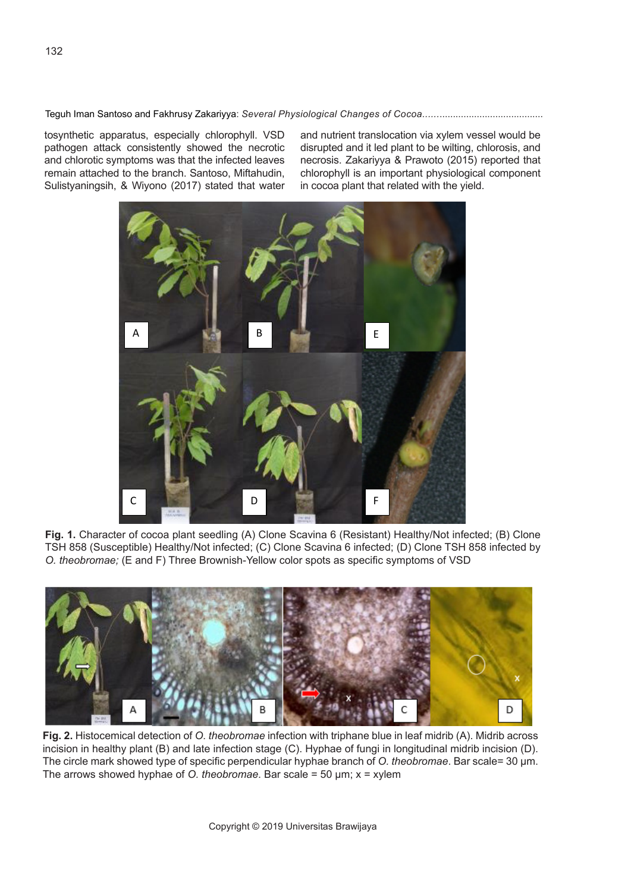tosynthetic apparatus, especially chlorophyll. VSD pathogen attack consistently showed the necrotic and chlorotic symptoms was that the infected leaves remain attached to the branch. Santoso, Miftahudin, Sulistyaningsih, & Wiyono (2017) stated that water and nutrient translocation via xylem vessel would be disrupted and it led plant to be wilting, chlorosis, and necrosis. Zakariyya & Prawoto (2015) reported that chlorophyll is an important physiological component in cocoa plant that related with the yield.



**Fig. 1.** Character of cocoa plant seedling (A) Clone Scavina 6 (Resistant) Healthy/Not infected; (B) Clone TSH 858 (Susceptible) Healthy/Not infected; (C) Clone Scavina 6 infected; (D) Clone TSH 858 infected by *O. theobromae;* (E and F) Three Brownish-Yellow color spots as specific symptoms of VSD



**Fig. 2.** Histocemical detection of *O. theobromae* infection with triphane blue in leaf midrib (A). Midrib across incision in healthy plant (B) and late infection stage (C). Hyphae of fungi in longitudinal midrib incision (D). The circle mark showed type of specific perpendicular hyphae branch of *O. theobromae*. Bar scale= 30 µm. The arrows showed hyphae of *O. theobromae*. Bar scale = 50 µm; x = xylem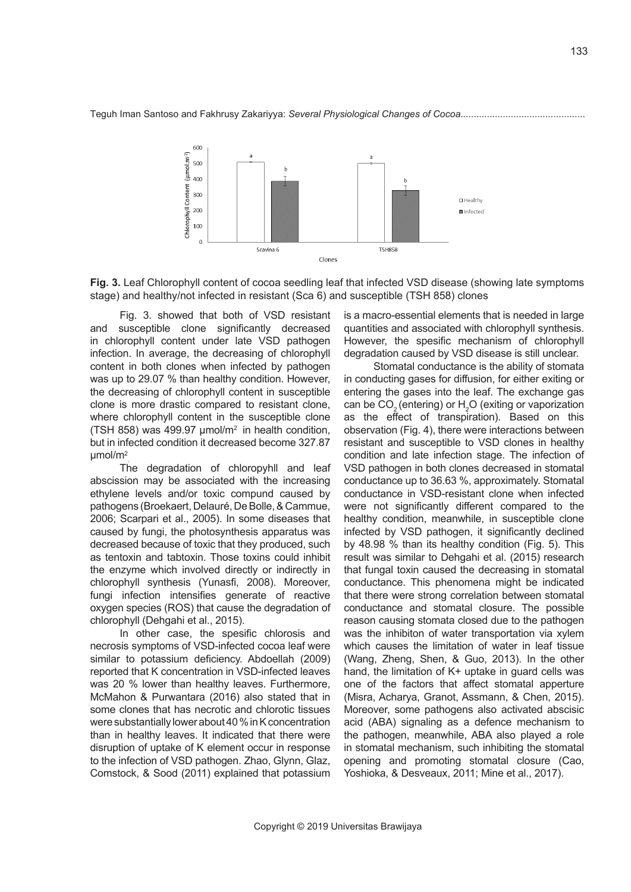



Fig. 3. showed that both of VSD resistant and susceptible clone significantly decreased in chlorophyll content under late VSD pathogen infection. In average, the decreasing of chlorophyll content in both clones when infected by pathogen was up to 29.07 % than healthy condition. However, the decreasing of chlorophyll content in susceptible clone is more drastic compared to resistant clone, where chlorophyll content in the susceptible clone (TSH 858) was 499.97  $\mu$ mol/m<sup>2</sup> in health condition, but in infected condition it decreased become 327.87 µmol/m2

..<br>The degradation of chloropyhll and leaf abscission may be associated with the increasing ethylene levels and/or toxic compund caused by pathogens (Broekaert, Delauré, De Bolle, & Cammue, 2006; Scarpari et al., 2005). In some diseases that caused by fungi, the photosynthesis apparatus was decreased because of toxic that they produced, such as tentoxin and tabtoxin. Those toxins could inhibit the enzyme which involved directly or indirectly in chlorophyll synthesis (Yunasfi, 2008). Moreover, fungi infection intensifies generate of reactive oxygen species (ROS) that cause the degradation of chlorophyll (Dehgahi et al., 2015).

In other case, the spesific chlorosis and necrosis symptoms of VSD-infected cocoa leaf were similar to potassium deficiency. Abdoellah (2009) reported that K concentration in VSD-infected leaves was 20 % lower than healthy leaves. Furthermore, McMahon & Purwantara (2016) also stated that in some clones that has necrotic and chlorotic tissues were substantially lower about 40 % in K concentration than in healthy leaves. It indicated that there were disruption of uptake of K element occur in response to the infection of VSD pathogen. Zhao, Glynn, Glaz, Comstock, & Sood (2011) explained that potassium is a macro-essential elements that is needed in large quantities and associated with chlorophyll synthesis. However, the spesific mechanism of chlorophyll degradation caused by VSD disease is still unclear.

Stomatal conductance is the ability of stomata in conducting gases for diffusion, for either exiting or entering the gases into the leaf. The exchange gas can be  $CO<sub>2</sub>$  (entering) or  $H<sub>2</sub>O$  (exiting or vaporization as the effect of transpiration). Based on this observation (Fig. 4), there were interactions between resistant and susceptible to VSD clones in healthy condition and late infection stage. The infection of VSD pathogen in both clones decreased in stomatal conductance up to 36.63 %, approximately. Stomatal conductance in VSD-resistant clone when infected were not significantly different compared to the healthy condition, meanwhile, in susceptible clone infected by VSD pathogen, it significantly declined by 48.98 % than its healthy condition (Fig. 5). This result was similar to Dehgahi et al. (2015) research that fungal toxin caused the decreasing in stomatal conductance. This phenomena might be indicated that there were strong correlation between stomatal conductance and stomatal closure. The possible reason causing stomata closed due to the pathogen was the inhibiton of water transportation via xylem which causes the limitation of water in leaf tissue (Wang, Zheng, Shen, & Guo, 2013). In the other hand, the limitation of K+ uptake in guard cells was one of the factors that affect stomatal apperture (Misra, Acharya, Granot, Assmann, & Chen, 2015). Moreover, some pathogens also activated abscisic acid (ABA) signaling as a defence mechanism to the pathogen, meanwhile, ABA also played a role in stomatal mechanism, such inhibiting the stomatal opening and promoting stomatal closure (Cao, Yoshioka, & Desveaux, 2011; Mine et al., 2017).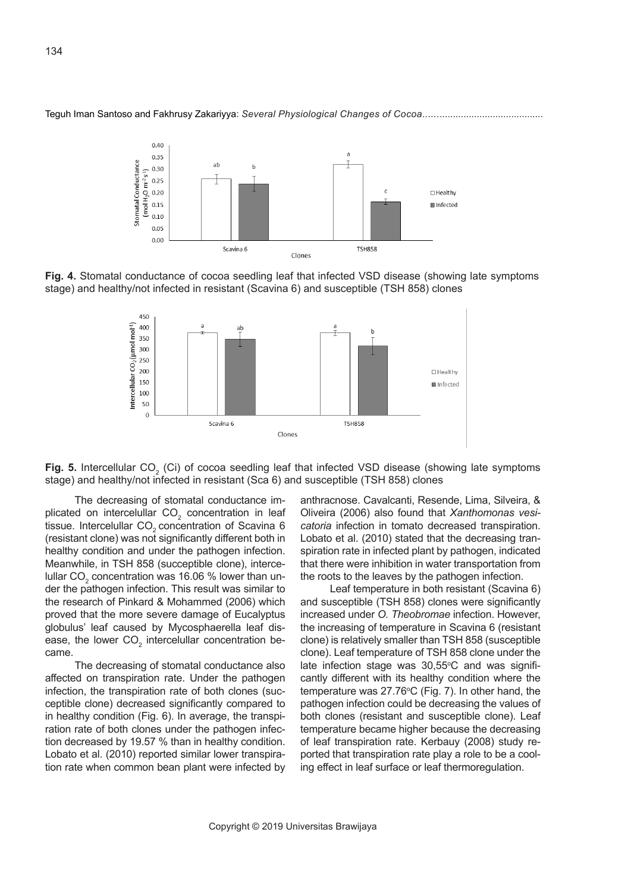







The decreasing of stomatal conductance implicated on intercelullar  $CO<sub>2</sub>$  concentration in leaf tissue. Intercelullar CO<sub>2</sub> concentration of Scavina 6 (resistant clone) was not significantly different both in healthy condition and under the pathogen infection. Meanwhile, in TSH 858 (succeptible clone), intercelullar CO $_2$  concentration was 16.06 % lower than under the pathogen infection. This result was similar to the research of Pinkard & Mohammed (2006) which proved that the more severe damage of Eucalyptus globulus' leaf caused by Mycosphaerella leaf disease, the lower  $\text{CO}_2$  intercelullar concentration became.

The decreasing of stomatal conductance also affected on transpiration rate. Under the pathogen infection, the transpiration rate of both clones (succeptible clone) decreased significantly compared to in healthy condition (Fig. 6). In average, the transpiration rate of both clones under the pathogen infection decreased by 19.57 % than in healthy condition. Lobato et al. (2010) reported similar lower transpiration rate when common bean plant were infected by anthracnose. Cavalcanti, Resende, Lima, Silveira, & Oliveira (2006) also found that *Xanthomonas vesicatoria* infection in tomato decreased transpiration. Lobato et al. (2010) stated that the decreasing transpiration rate in infected plant by pathogen, indicated that there were inhibition in water transportation from the roots to the leaves by the pathogen infection.

Leaf temperature in both resistant (Scavina 6) and susceptible (TSH 858) clones were significantly increased under *O. Theobromae* infection. However, the increasing of temperature in Scavina 6 (resistant clone) is relatively smaller than TSH 858 (susceptible clone). Leaf temperature of TSH 858 clone under the late infection stage was 30,55°C and was significantly different with its healthy condition where the temperature was  $27.76^{\circ}$ C (Fig. 7). In other hand, the pathogen infection could be decreasing the values of both clones (resistant and susceptible clone). Leaf temperature became higher because the decreasing of leaf transpiration rate. Kerbauy (2008) study reported that transpiration rate play a role to be a cooling effect in leaf surface or leaf thermoregulation.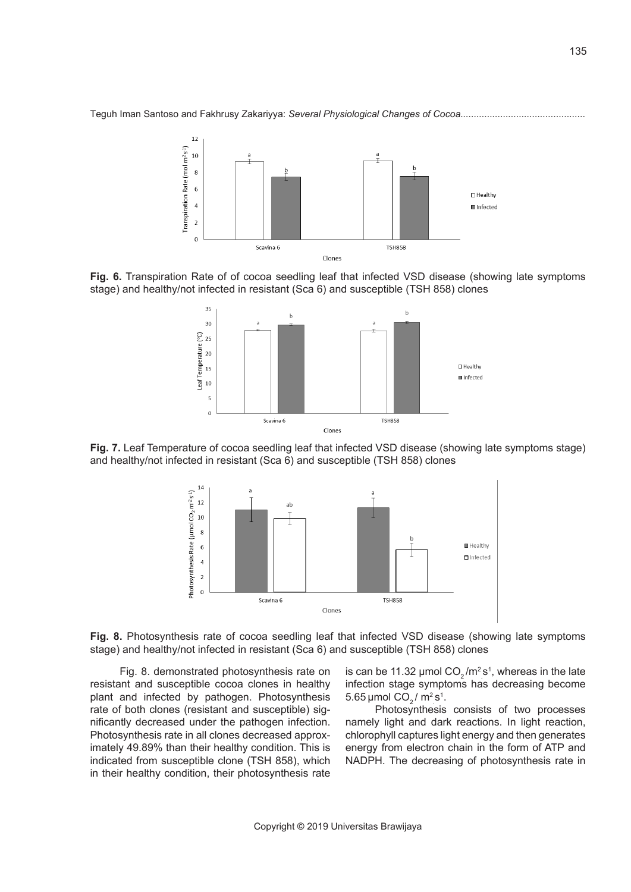



**Fig. 6.** Transpiration Rate of of cocoa seedling leaf that infected VSD disease (showing late symptoms stage) and healthy/not infected in resistant (Sca 6) and susceptible (TSH 858) clones



**Fig. 7.** Leaf Temperature of cocoa seedling leaf that infected VSD disease (showing late symptoms stage) and healthy/not infected in resistant (Sca 6) and susceptible (TSH 858) clones





Fig. 8. demonstrated photosynthesis rate on resistant and susceptible cocoa clones in healthy plant and infected by pathogen. Photosynthesis rate of both clones (resistant and susceptible) significantly decreased under the pathogen infection. Photosynthesis rate in all clones decreased approximately 49.89% than their healthy condition. This is indicated from susceptible clone (TSH 858), which in their healthy condition, their photosynthesis rate

is can be 11.32 µmol CO<sub>2</sub>/m<sup>2</sup>s<sup>1</sup>, whereas in the late infection stage symptoms has decreasing become 5.65 µmol CO $_2$  / m<sup>2</sup> s<sup>1</sup>.

Photosynthesis consists of two processes namely light and dark reactions. In light reaction, chlorophyll captures light energy and then generates energy from electron chain in the form of ATP and NADPH. The decreasing of photosynthesis rate in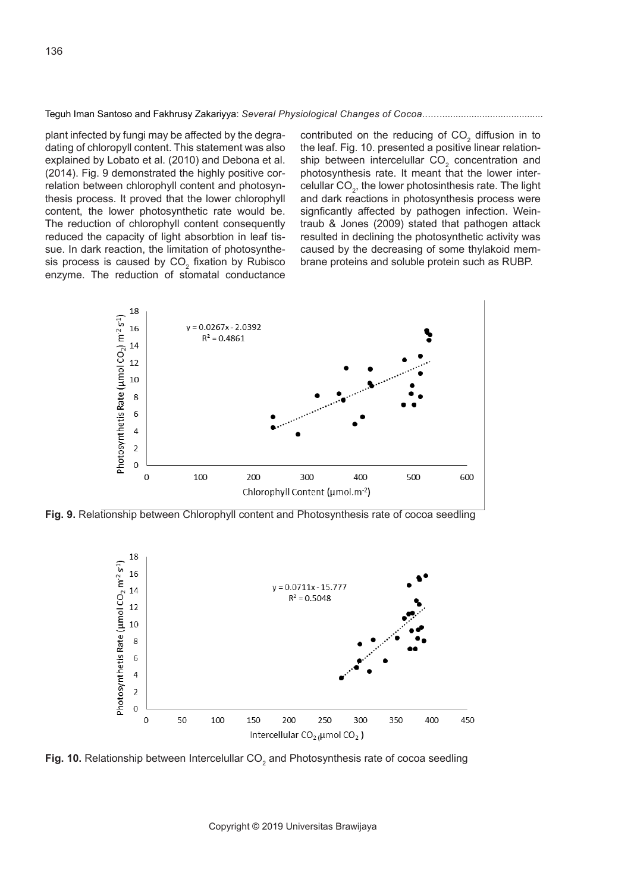plant infected by fungi may be affected by the degradating of chloropyll content. This statement was also explained by Lobato et al. (2010) and Debona et al. (2014). Fig. 9 demonstrated the highly positive correlation between chlorophyll content and photosynthesis process. It proved that the lower chlorophyll content, the lower photosynthetic rate would be. The reduction of chlorophyll content consequently reduced the capacity of light absorbtion in leaf tissue. In dark reaction, the limitation of photosynthesis process is caused by  $CO<sub>2</sub>$  fixation by Rubisco enzyme. The reduction of stomatal conductance

contributed on the reducing of  $CO<sub>2</sub>$  diffusion in to the leaf. Fig. 10. presented a positive linear relationship between intercelullar  $CO<sub>2</sub>$  concentration and photosynthesis rate. It meant that the lower intercelullar  $CO<sub>2</sub>$ , the lower photosinthesis rate. The light and dark reactions in photosynthesis process were signficantly affected by pathogen infection. Weintraub & Jones (2009) stated that pathogen attack resulted in declining the photosynthetic activity was caused by the decreasing of some thylakoid membrane proteins and soluble protein such as RUBP.



**Fig. 9.** Relationship between Chlorophyll content and Photosynthesis rate of cocoa seedling



**Fig. 10.** Relationship between Intercelullar CO<sub>2</sub> and Photosynthesis rate of cocoa seedling

Copyright © 2019 Universitas Brawijaya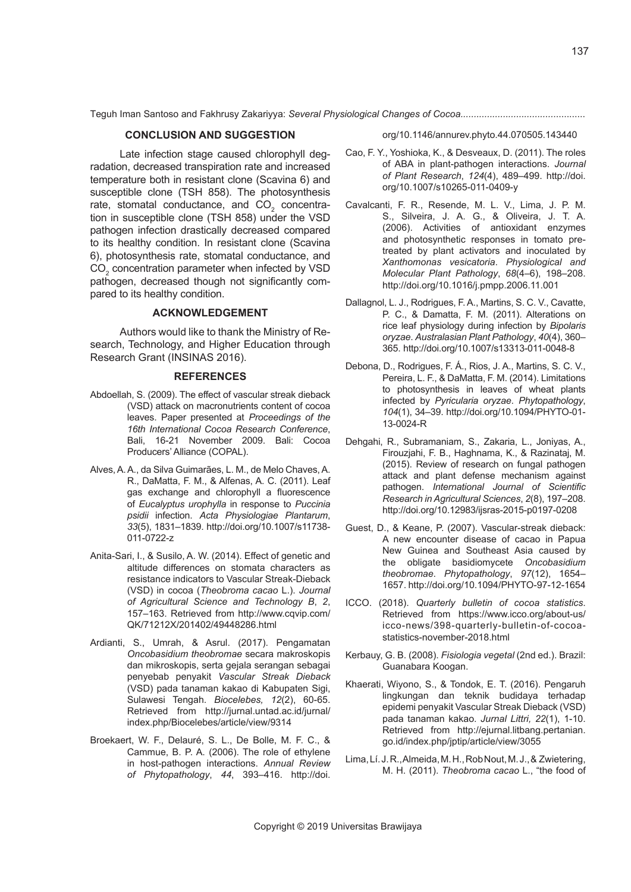# **CONCLUSION AND SUGGESTION**

Late infection stage caused chlorophyll degradation, decreased transpiration rate and increased temperature both in resistant clone (Scavina 6) and susceptible clone (TSH 858). The photosynthesis rate, stomatal conductance, and  $CO<sub>2</sub>$  concentration in susceptible clone (TSH 858) under the VSD pathogen infection drastically decreased compared to its healthy condition. In resistant clone (Scavina 6), photosynthesis rate, stomatal conductance, and  $\text{CO}_2$  concentration parameter when infected by VSD pathogen, decreased though not significantly compared to its healthy condition.

### **ACKNOWLEDGEMENT**

Authors would like to thank the Ministry of Research, Technology, and Higher Education through Research Grant (INSINAS 2016).

#### **REFERENCES**

- Abdoellah, S. (2009). The effect of vascular streak dieback (VSD) attack on macronutrients content of cocoa leaves. Paper presented at *Proceedings of the 16th International Cocoa Research Conference*, Bali, 16-21 November 2009. Bali: Cocoa Producers' Alliance (COPAL).
- Alves, A. A., da Silva Guimarães, L. M., de Melo Chaves, A. R., DaMatta, F. M., & Alfenas, A. C. (2011). Leaf gas exchange and chlorophyll a fluorescence of *Eucalyptus urophylla* in response to *Puccinia psidii* infection. *Acta Physiologiae Plantarum*, *33*(5), 1831–1839. http://doi.org/10.1007/s11738- 011-0722-z
- Anita-Sari, I., & Susilo, A. W. (2014). Effect of genetic and altitude differences on stomata characters as resistance indicators to Vascular Streak-Dieback (VSD) in cocoa (*Theobroma cacao* L.). *Journal of Agricultural Science and Technology B*, *2*, 157–163. Retrieved from http://www.cqvip.com/ QK/71212X/201402/49448286.html
- Ardianti, S., Umrah, & Asrul. (2017). Pengamatan *Oncobasidium theobromae* secara makroskopis dan mikroskopis, serta gejala serangan sebagai penyebab penyakit *Vascular Streak Dieback* (VSD) pada tanaman kakao di Kabupaten Sigi, Sulawesi Tengah. *Biocelebes, 12*(2), 60-65. Retrieved from http://jurnal.untad.ac.id/jurnal/ index.php/Biocelebes/article/view/9314
- Broekaert, W. F., Delauré, S. L., De Bolle, M. F. C., & Cammue, B. P. A. (2006). The role of ethylene in host-pathogen interactions. *Annual Review of Phytopathology*, *44*, 393–416. http://doi.

org/10.1146/annurev.phyto.44.070505.143440

- Cao, F. Y., Yoshioka, K., & Desveaux, D. (2011). The roles of ABA in plant-pathogen interactions. *Journal of Plant Research*, *124*(4), 489–499. http://doi. org/10.1007/s10265-011-0409-y
- Cavalcanti, F. R., Resende, M. L. V., Lima, J. P. M. S., Silveira, J. A. G., & Oliveira, J. T. A. (2006). Activities of antioxidant enzymes and photosynthetic responses in tomato pretreated by plant activators and inoculated by *Xanthomonas vesicatoria*. *Physiological and Molecular Plant Pathology*, *68*(4–6), 198–208. http://doi.org/10.1016/j.pmpp.2006.11.001
- Dallagnol, L. J., Rodrigues, F. A., Martins, S. C. V., Cavatte, P. C., & Damatta, F. M. (2011). Alterations on rice leaf physiology during infection by *Bipolaris oryzae*. *Australasian Plant Pathology*, *40*(4), 360– 365. http://doi.org/10.1007/s13313-011-0048-8
- Debona, D., Rodrigues, F. Á., Rios, J. A., Martins, S. C. V., Pereira, L. F., & DaMatta, F. M. (2014). Limitations to photosynthesis in leaves of wheat plants infected by *Pyricularia oryzae*. *Phytopathology*, *104*(1), 34–39. http://doi.org/10.1094/PHYTO-01- 13-0024-R
- Dehgahi, R., Subramaniam, S., Zakaria, L., Joniyas, A., Firouzjahi, F. B., Haghnama, K., & Razinataj, M. (2015). Review of research on fungal pathogen attack and plant defense mechanism against pathogen. *International Journal of Scientific Research in Agricultural Sciences*, *2*(8), 197–208. http://doi.org/10.12983/ijsras-2015-p0197-0208
- Guest, D., & Keane, P. (2007). Vascular-streak dieback: A new encounter disease of cacao in Papua New Guinea and Southeast Asia caused by the obligate basidiomycete *Oncobasidium theobromae*. *Phytopathology*, *97*(12), 1654– 1657. http://doi.org/10.1094/PHYTO-97-12-1654
- ICCO. (2018). *Quarterly bulletin of cocoa statistics*. Retrieved from https://www.icco.org/about-us/ icco-news/398-quarterly-bulletin-of-cocoastatistics-november-2018.html
- Kerbauy, G. B. (2008). *Fisiologia vegetal* (2nd ed.). Brazil: Guanabara Koogan.
- Khaerati, Wiyono, S., & Tondok, E. T. (2016). Pengaruh lingkungan dan teknik budidaya terhadap epidemi penyakit Vascular Streak Dieback (VSD) pada tanaman kakao. *Jurnal Littri, 22*(1), 1-10. Retrieved from http://ejurnal.litbang.pertanian. go.id/index.php/jptip/article/view/3055
- Lima, Lí. J. R., Almeida, M. H., Rob Nout, M. J., & Zwietering, M. H. (2011). *Theobroma cacao* L., "the food of